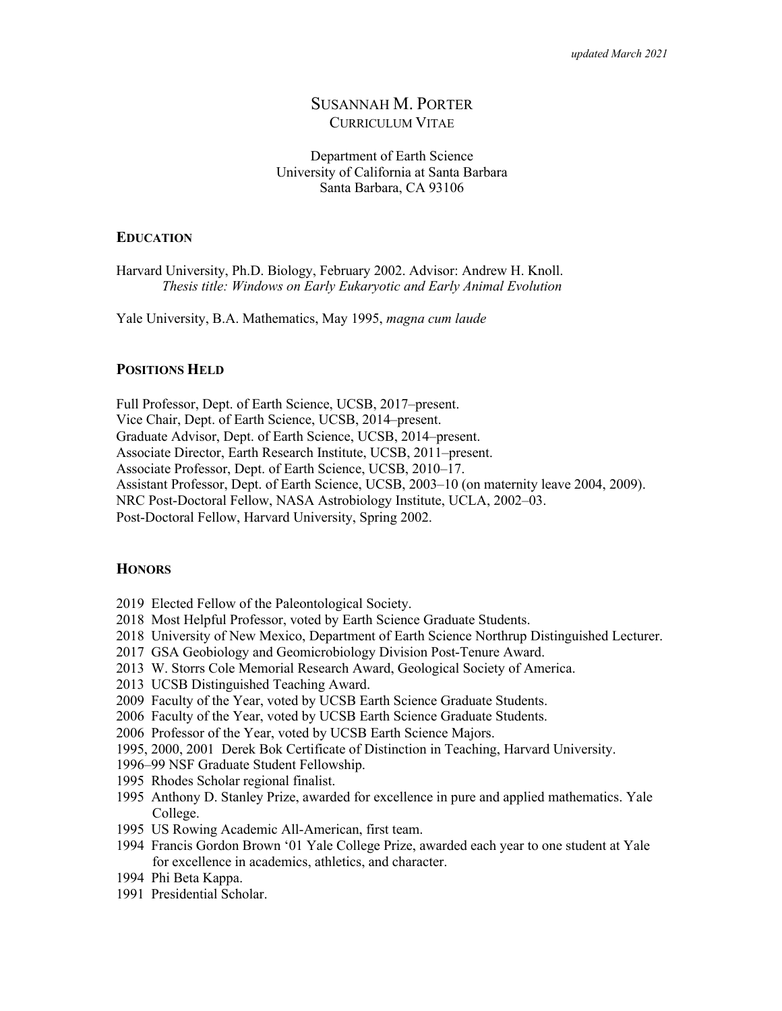# SUSANNAH M. PORTER CURRICULUM VITAE

## Department of Earth Science University of California at Santa Barbara Santa Barbara, CA 93106

### **EDUCATION**

Harvard University, Ph.D. Biology, February 2002. Advisor: Andrew H. Knoll. *Thesis title: Windows on Early Eukaryotic and Early Animal Evolution*

Yale University, B.A. Mathematics, May 1995, *magna cum laude*

## **POSITIONS HELD**

Full Professor, Dept. of Earth Science, UCSB, 2017–present.

Vice Chair, Dept. of Earth Science, UCSB, 2014–present.

Graduate Advisor, Dept. of Earth Science, UCSB, 2014–present.

Associate Director, Earth Research Institute, UCSB, 2011–present.

Associate Professor, Dept. of Earth Science, UCSB, 2010–17.

Assistant Professor, Dept. of Earth Science, UCSB, 2003–10 (on maternity leave 2004, 2009).

NRC Post-Doctoral Fellow, NASA Astrobiology Institute, UCLA, 2002–03.

Post-Doctoral Fellow, Harvard University, Spring 2002.

## **HONORS**

2019 Elected Fellow of the Paleontological Society.

- 2018 Most Helpful Professor, voted by Earth Science Graduate Students.
- 2018 University of New Mexico, Department of Earth Science Northrup Distinguished Lecturer.
- 2017 GSA Geobiology and Geomicrobiology Division Post-Tenure Award.
- 2013 W. Storrs Cole Memorial Research Award, Geological Society of America.
- 2013 UCSB Distinguished Teaching Award.
- 2009 Faculty of the Year, voted by UCSB Earth Science Graduate Students.
- 2006 Faculty of the Year, voted by UCSB Earth Science Graduate Students.
- 2006 Professor of the Year, voted by UCSB Earth Science Majors.
- 1995, 2000, 2001 Derek Bok Certificate of Distinction in Teaching, Harvard University.
- 1996–99 NSF Graduate Student Fellowship.
- 1995 Rhodes Scholar regional finalist.
- 1995 Anthony D. Stanley Prize, awarded for excellence in pure and applied mathematics. Yale College.
- 1995 US Rowing Academic All-American, first team.
- 1994 Francis Gordon Brown '01 Yale College Prize, awarded each year to one student at Yale for excellence in academics, athletics, and character.
- 1994 Phi Beta Kappa.
- 1991 Presidential Scholar.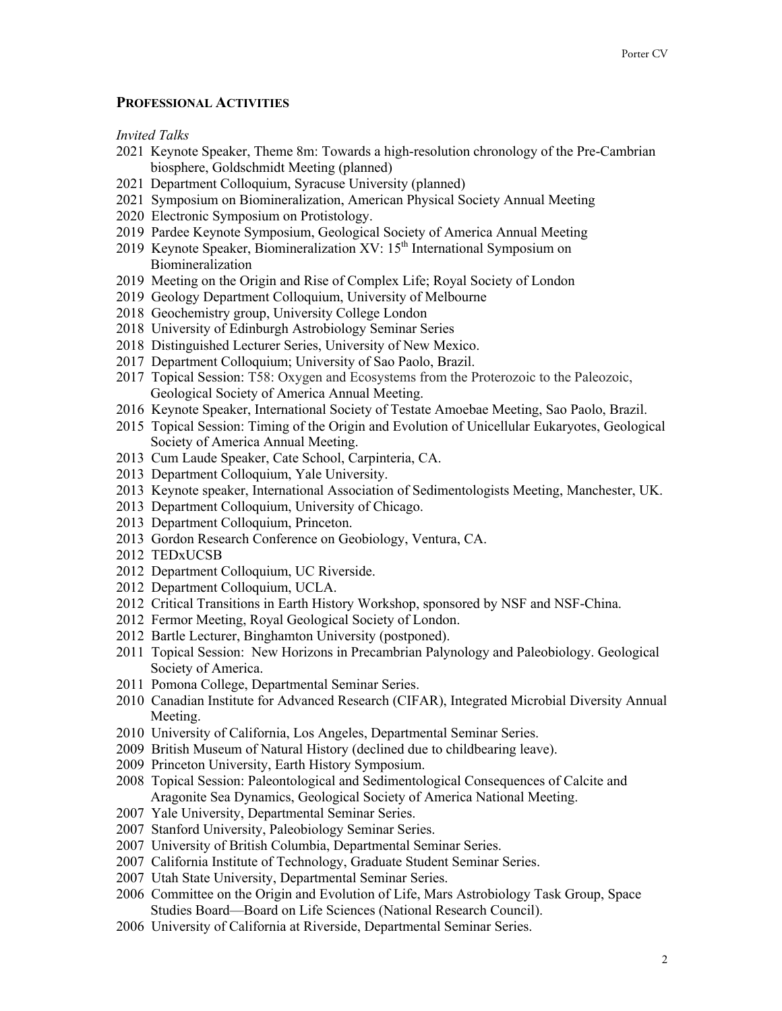## **PROFESSIONAL ACTIVITIES**

*Invited Talks*

- Keynote Speaker, Theme 8m: Towards a high-resolution chronology of the Pre-Cambrian biosphere, Goldschmidt Meeting (planned)
- Department Colloquium, Syracuse University (planned)
- Symposium on Biomineralization, American Physical Society Annual Meeting
- Electronic Symposium on Protistology.
- Pardee Keynote Symposium, Geological Society of America Annual Meeting
- 2019 Keynote Speaker, Biomineralization  $XV: 15<sup>th</sup>$  International Symposium on Biomineralization
- Meeting on the Origin and Rise of Complex Life; Royal Society of London
- Geology Department Colloquium, University of Melbourne
- Geochemistry group, University College London
- University of Edinburgh Astrobiology Seminar Series
- Distinguished Lecturer Series, University of New Mexico.
- Department Colloquium; University of Sao Paolo, Brazil.
- Topical Session: T58: Oxygen and Ecosystems from the Proterozoic to the Paleozoic, Geological Society of America Annual Meeting.
- Keynote Speaker, International Society of Testate Amoebae Meeting, Sao Paolo, Brazil.
- Topical Session: Timing of the Origin and Evolution of Unicellular Eukaryotes, Geological Society of America Annual Meeting.
- Cum Laude Speaker, Cate School, Carpinteria, CA.
- Department Colloquium, Yale University.
- Keynote speaker, International Association of Sedimentologists Meeting, Manchester, UK.
- Department Colloquium, University of Chicago.
- Department Colloquium, Princeton.
- Gordon Research Conference on Geobiology, Ventura, CA.
- TEDxUCSB
- Department Colloquium, UC Riverside.
- Department Colloquium, UCLA.
- Critical Transitions in Earth History Workshop, sponsored by NSF and NSF-China.
- Fermor Meeting, Royal Geological Society of London.
- Bartle Lecturer, Binghamton University (postponed).
- Topical Session: New Horizons in Precambrian Palynology and Paleobiology. Geological Society of America.
- Pomona College, Departmental Seminar Series.
- Canadian Institute for Advanced Research (CIFAR), Integrated Microbial Diversity Annual Meeting.
- University of California, Los Angeles, Departmental Seminar Series.
- British Museum of Natural History (declined due to childbearing leave).
- Princeton University, Earth History Symposium.
- Topical Session: Paleontological and Sedimentological Consequences of Calcite and Aragonite Sea Dynamics, Geological Society of America National Meeting.
- Yale University, Departmental Seminar Series.
- Stanford University, Paleobiology Seminar Series.
- University of British Columbia, Departmental Seminar Series.
- California Institute of Technology, Graduate Student Seminar Series.
- Utah State University, Departmental Seminar Series.
- Committee on the Origin and Evolution of Life, Mars Astrobiology Task Group, Space Studies Board—Board on Life Sciences (National Research Council).
- University of California at Riverside, Departmental Seminar Series.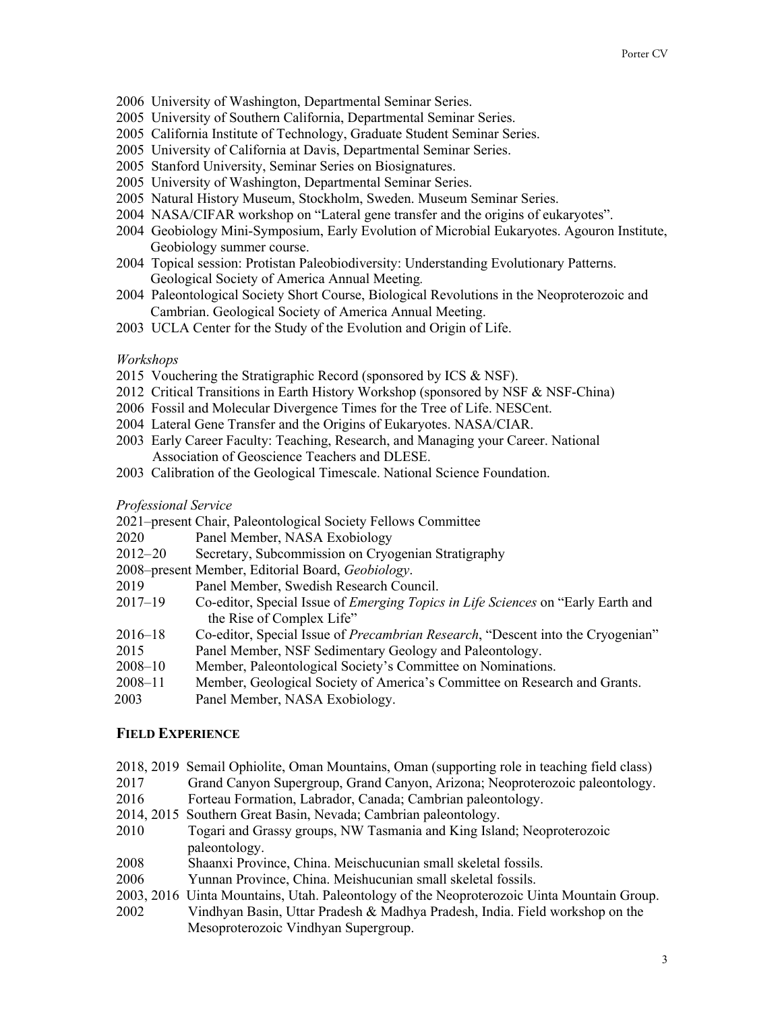- 2006 University of Washington, Departmental Seminar Series.
- 2005 University of Southern California, Departmental Seminar Series.
- 2005 California Institute of Technology, Graduate Student Seminar Series.
- 2005 University of California at Davis, Departmental Seminar Series.
- 2005 Stanford University, Seminar Series on Biosignatures.
- 2005 University of Washington, Departmental Seminar Series.
- 2005 Natural History Museum, Stockholm, Sweden. Museum Seminar Series.
- 2004 NASA/CIFAR workshop on "Lateral gene transfer and the origins of eukaryotes".
- 2004 Geobiology Mini-Symposium, Early Evolution of Microbial Eukaryotes. Agouron Institute, Geobiology summer course.
- 2004 Topical session: Protistan Paleobiodiversity: Understanding Evolutionary Patterns. Geological Society of America Annual Meeting*.*
- 2004 Paleontological Society Short Course, Biological Revolutions in the Neoproterozoic and Cambrian. Geological Society of America Annual Meeting.
- 2003 UCLA Center for the Study of the Evolution and Origin of Life.

## *Workshops*

- 2015 Vouchering the Stratigraphic Record (sponsored by ICS & NSF).
- 2012 Critical Transitions in Earth History Workshop (sponsored by NSF & NSF-China)
- 2006 Fossil and Molecular Divergence Times for the Tree of Life. NESCent.
- 2004 Lateral Gene Transfer and the Origins of Eukaryotes. NASA/CIAR.
- 2003 Early Career Faculty: Teaching, Research, and Managing your Career. National Association of Geoscience Teachers and DLESE.
- 2003 Calibration of the Geological Timescale. National Science Foundation.

#### *Professional Service*

- 2021–present Chair, Paleontological Society Fellows Committee
- 2020 Panel Member, NASA Exobiology
- 2012–20 Secretary, Subcommission on Cryogenian Stratigraphy
- 2008–present Member, Editorial Board, *Geobiology*.
- 2019 Panel Member, Swedish Research Council.
- 2017–19 Co-editor, Special Issue of *Emerging Topics in Life Sciences* on "Early Earth and the Rise of Complex Life"
- 2016–18 Co-editor, Special Issue of *Precambrian Research*, "Descent into the Cryogenian"
- 2015 Panel Member, NSF Sedimentary Geology and Paleontology.
- 2008–10 Member, Paleontological Society's Committee on Nominations.
- 2008–11 Member, Geological Society of America's Committee on Research and Grants.
- 2003 Panel Member, NASA Exobiology.

# **FIELD EXPERIENCE**

- 2018, 2019 Semail Ophiolite, Oman Mountains, Oman (supporting role in teaching field class)
- 2017 Grand Canyon Supergroup, Grand Canyon, Arizona; Neoproterozoic paleontology.
- 2016 Forteau Formation, Labrador, Canada; Cambrian paleontology.
- 2014, 2015 Southern Great Basin, Nevada; Cambrian paleontology.
- 2010 Togari and Grassy groups, NW Tasmania and King Island; Neoproterozoic paleontology.
- 2008 Shaanxi Province, China. Meischucunian small skeletal fossils.
- 2006 Yunnan Province, China. Meishucunian small skeletal fossils.
- 2003, 2016 Uinta Mountains, Utah. Paleontology of the Neoproterozoic Uinta Mountain Group.
- 2002 Vindhyan Basin, Uttar Pradesh & Madhya Pradesh, India. Field workshop on the Mesoproterozoic Vindhyan Supergroup.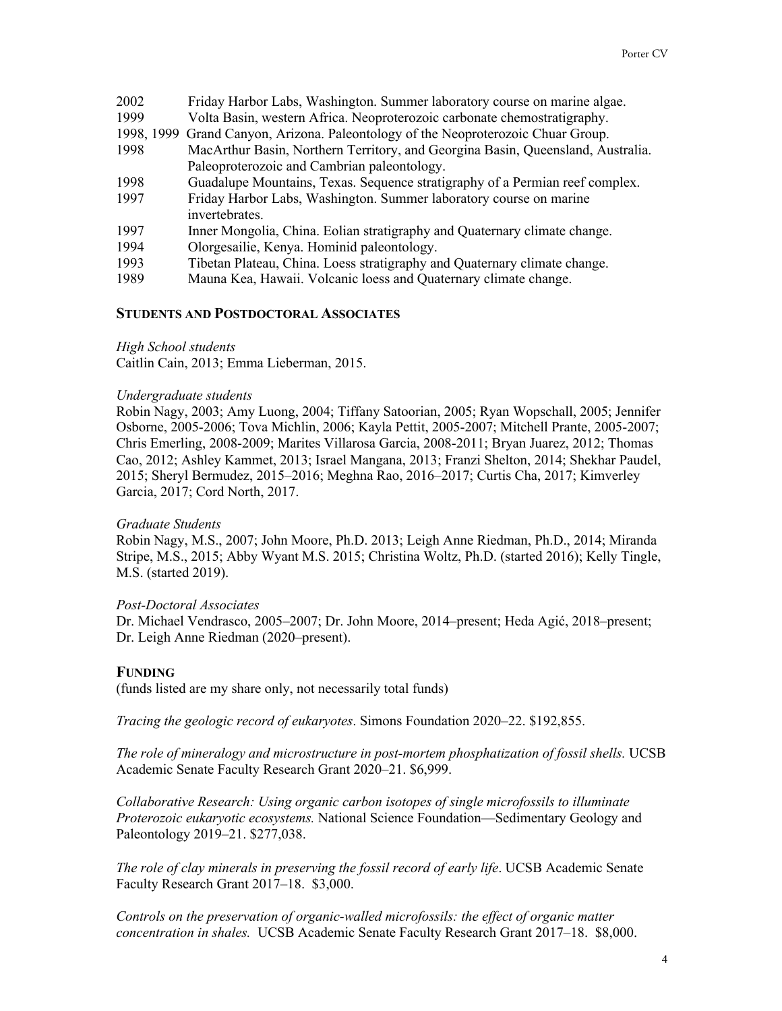| 2002 | Friday Harbor Labs, Washington. Summer laboratory course on marine algae.         |
|------|-----------------------------------------------------------------------------------|
| 1999 | Volta Basin, western Africa. Neoproterozoic carbonate chemostratigraphy.          |
|      | 1998, 1999 Grand Canyon, Arizona. Paleontology of the Neoproterozoic Chuar Group. |
| 1998 | MacArthur Basin, Northern Territory, and Georgina Basin, Queensland, Australia.   |
|      | Paleoproterozoic and Cambrian paleontology.                                       |
| 1998 | Guadalupe Mountains, Texas. Sequence stratigraphy of a Permian reef complex.      |
| 1997 | Friday Harbor Labs, Washington. Summer laboratory course on marine                |
|      | invertebrates.                                                                    |
| 1997 | Inner Mongolia, China. Eolian stratigraphy and Quaternary climate change.         |
| 1994 | Olorgesailie, Kenya. Hominid paleontology.                                        |
| 1993 | Tibetan Plateau, China. Loess stratigraphy and Quaternary climate change.         |
|      |                                                                                   |

1989 Mauna Kea, Hawaii. Volcanic loess and Quaternary climate change.

## **STUDENTS AND POSTDOCTORAL ASSOCIATES**

#### *High School students*

Caitlin Cain, 2013; Emma Lieberman, 2015.

### *Undergraduate students*

Robin Nagy, 2003; Amy Luong, 2004; Tiffany Satoorian, 2005; Ryan Wopschall, 2005; Jennifer Osborne, 2005-2006; Tova Michlin, 2006; Kayla Pettit, 2005-2007; Mitchell Prante, 2005-2007; Chris Emerling, 2008-2009; Marites Villarosa Garcia, 2008-2011; Bryan Juarez, 2012; Thomas Cao, 2012; Ashley Kammet, 2013; Israel Mangana, 2013; Franzi Shelton, 2014; Shekhar Paudel, 2015; Sheryl Bermudez, 2015–2016; Meghna Rao, 2016–2017; Curtis Cha, 2017; Kimverley Garcia, 2017; Cord North, 2017.

#### *Graduate Students*

Robin Nagy, M.S., 2007; John Moore, Ph.D. 2013; Leigh Anne Riedman, Ph.D., 2014; Miranda Stripe, M.S., 2015; Abby Wyant M.S. 2015; Christina Woltz, Ph.D. (started 2016); Kelly Tingle, M.S. (started 2019).

## *Post-Doctoral Associates*

Dr. Michael Vendrasco, 2005–2007; Dr. John Moore, 2014–present; Heda Agić, 2018–present; Dr. Leigh Anne Riedman (2020–present).

### **FUNDING**

(funds listed are my share only, not necessarily total funds)

*Tracing the geologic record of eukaryotes*. Simons Foundation 2020–22. \$192,855.

*The role of mineralogy and microstructure in post-mortem phosphatization of fossil shells.* UCSB Academic Senate Faculty Research Grant 2020–21. \$6,999.

*Collaborative Research: Using organic carbon isotopes of single microfossils to illuminate Proterozoic eukaryotic ecosystems.* National Science Foundation—Sedimentary Geology and Paleontology 2019–21. \$277,038.

*The role of clay minerals in preserving the fossil record of early life*. UCSB Academic Senate Faculty Research Grant 2017–18. \$3,000.

*Controls on the preservation of organic-walled microfossils: the effect of organic matter concentration in shales.* UCSB Academic Senate Faculty Research Grant 2017–18. \$8,000.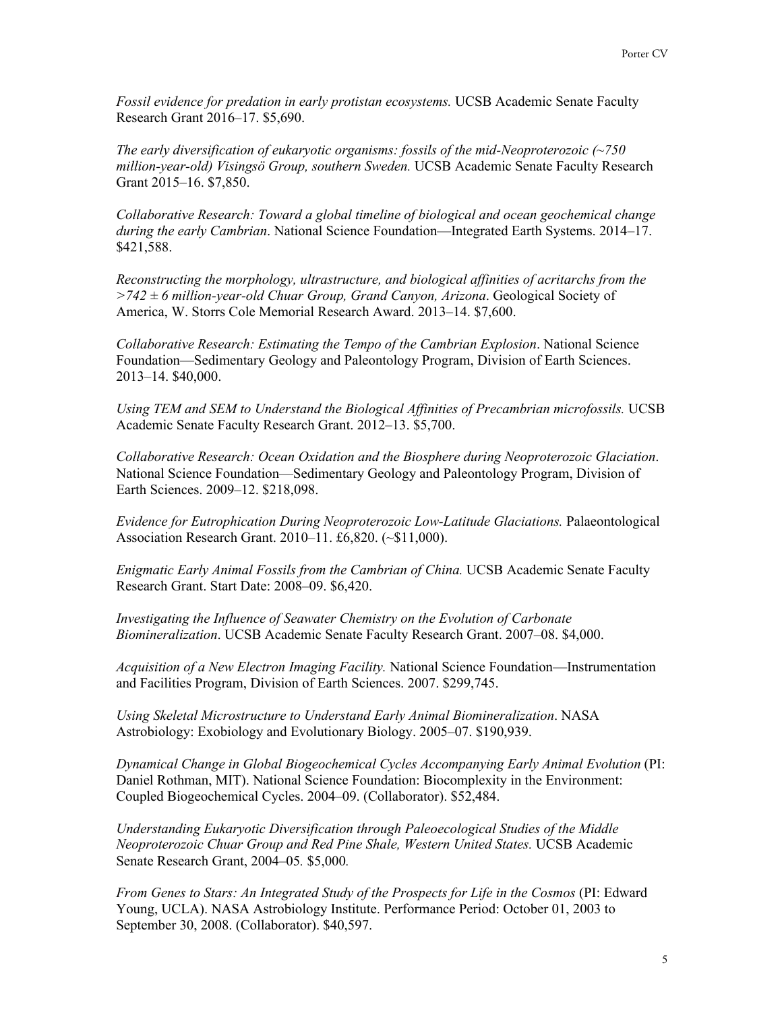*Fossil evidence for predation in early protistan ecosystems.* UCSB Academic Senate Faculty Research Grant 2016–17. \$5,690.

*The early diversification of eukaryotic organisms: fossils of the mid-Neoproterozoic (~750 million-year-old) Visingsö Group, southern Sweden.* UCSB Academic Senate Faculty Research Grant 2015–16. \$7,850.

*Collaborative Research: Toward a global timeline of biological and ocean geochemical change during the early Cambrian*. National Science Foundation—Integrated Earth Systems. 2014–17. \$421,588.

*Reconstructing the morphology, ultrastructure, and biological affinities of acritarchs from the >742 ± 6 million-year-old Chuar Group, Grand Canyon, Arizona*. Geological Society of America, W. Storrs Cole Memorial Research Award. 2013–14. \$7,600.

*Collaborative Research: Estimating the Tempo of the Cambrian Explosion*. National Science Foundation—Sedimentary Geology and Paleontology Program, Division of Earth Sciences. 2013–14. \$40,000.

Using TEM and SEM to Understand the Biological Affinities of Precambrian microfossils. UCSB Academic Senate Faculty Research Grant. 2012–13. \$5,700.

*Collaborative Research: Ocean Oxidation and the Biosphere during Neoproterozoic Glaciation*. National Science Foundation—Sedimentary Geology and Paleontology Program, Division of Earth Sciences. 2009–12. \$218,098.

*Evidence for Eutrophication During Neoproterozoic Low-Latitude Glaciations.* Palaeontological Association Research Grant. 2010–11. £6,820. (~\$11,000).

*Enigmatic Early Animal Fossils from the Cambrian of China.* UCSB Academic Senate Faculty Research Grant. Start Date: 2008–09. \$6,420.

*Investigating the Influence of Seawater Chemistry on the Evolution of Carbonate Biomineralization*. UCSB Academic Senate Faculty Research Grant. 2007–08. \$4,000.

*Acquisition of a New Electron Imaging Facility.* National Science Foundation—Instrumentation and Facilities Program, Division of Earth Sciences. 2007. \$299,745.

*Using Skeletal Microstructure to Understand Early Animal Biomineralization*. NASA Astrobiology: Exobiology and Evolutionary Biology. 2005–07. \$190,939.

*Dynamical Change in Global Biogeochemical Cycles Accompanying Early Animal Evolution* (PI: Daniel Rothman, MIT). National Science Foundation: Biocomplexity in the Environment: Coupled Biogeochemical Cycles. 2004–09. (Collaborator). \$52,484.

*Understanding Eukaryotic Diversification through Paleoecological Studies of the Middle Neoproterozoic Chuar Group and Red Pine Shale, Western United States.* UCSB Academic Senate Research Grant, 2004–05*.* \$5,000*.* 

*From Genes to Stars: An Integrated Study of the Prospects for Life in the Cosmos* (PI: Edward Young, UCLA). NASA Astrobiology Institute. Performance Period: October 01, 2003 to September 30, 2008. (Collaborator). \$40,597.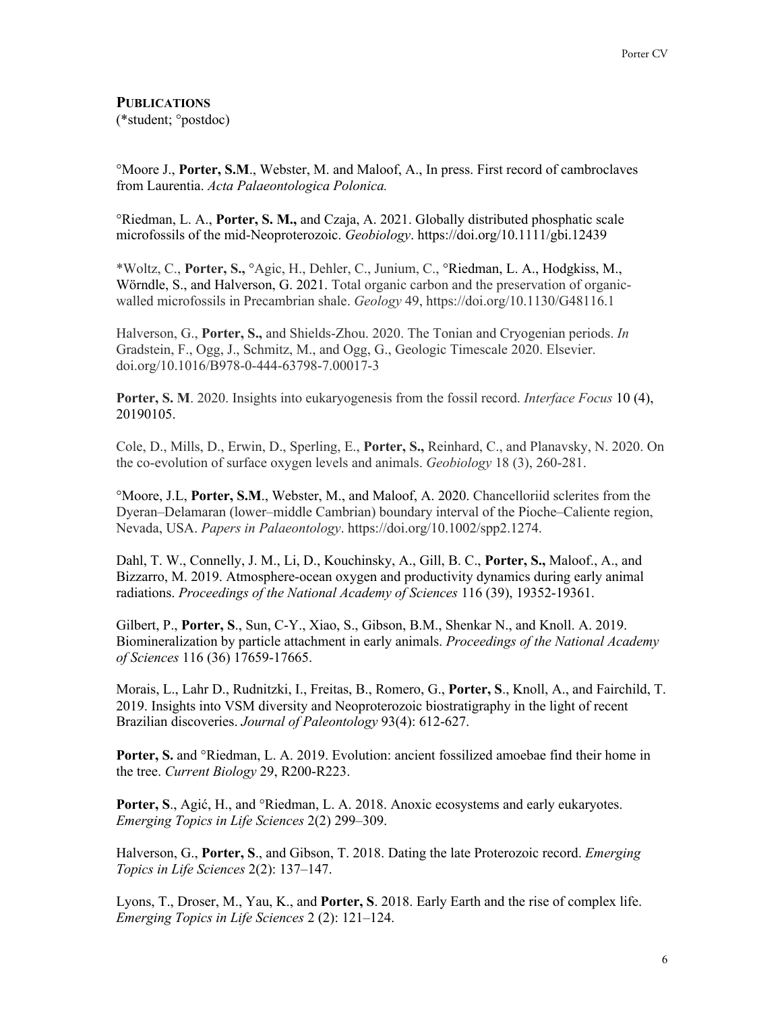# **PUBLICATIONS**

(\*student; °postdoc)

°Moore J., **Porter, S.M**., Webster, M. and Maloof, A., In press. First record of cambroclaves from Laurentia. *Acta Palaeontologica Polonica.*

°Riedman, L. A., **Porter, S. M.,** and Czaja, A. 2021. Globally distributed phosphatic scale microfossils of the mid-Neoproterozoic. *Geobiology*. https://doi.org/10.1111/gbi.12439

\*Woltz, C., **Porter, S.,** °Agic, H., Dehler, C., Junium, C., °Riedman, L. A., Hodgkiss, M., Wörndle, S., and Halverson, G. 2021. Total organic carbon and the preservation of organicwalled microfossils in Precambrian shale. *Geology* 49, https://doi.org/10.1130/G48116.1

Halverson, G., **Porter, S.,** and Shields-Zhou. 2020. The Tonian and Cryogenian periods. *In*  Gradstein, F., Ogg, J., Schmitz, M., and Ogg, G., Geologic Timescale 2020. Elsevier. doi.org/10.1016/B978-0-444-63798-7.00017-3

**Porter, S. M**. 2020. Insights into eukaryogenesis from the fossil record. *Interface Focus* 10 (4), 20190105.

Cole, D., Mills, D., Erwin, D., Sperling, E., **Porter, S.,** Reinhard, C., and Planavsky, N. 2020. On the co-evolution of surface oxygen levels and animals. *Geobiology* 18 (3), 260-281.

°Moore, J.L, **Porter, S.M**., Webster, M., and Maloof, A. 2020. Chancelloriid sclerites from the Dyeran–Delamaran (lower–middle Cambrian) boundary interval of the Pioche–Caliente region, Nevada, USA. *Papers in Palaeontology*. https://doi.org/10.1002/spp2.1274.

Dahl, T. W., Connelly, J. M., Li, D., Kouchinsky, A., Gill, B. C., **Porter, S.,** Maloof., A., and Bizzarro, M. 2019. Atmosphere-ocean oxygen and productivity dynamics during early animal radiations. *Proceedings of the National Academy of Sciences* 116 (39), 19352-19361.

Gilbert, P., **Porter, S**., Sun, C-Y., Xiao, S., Gibson, B.M., Shenkar N., and Knoll. A. 2019. Biomineralization by particle attachment in early animals. *Proceedings of the National Academy of Sciences* 116 (36) 17659-17665.

Morais, L., Lahr D., Rudnitzki, I., Freitas, B., Romero, G., **Porter, S**., Knoll, A., and Fairchild, T. 2019. Insights into VSM diversity and Neoproterozoic biostratigraphy in the light of recent Brazilian discoveries. *Journal of Paleontology* 93(4): 612-627.

**Porter, S.** and °Riedman, L. A. 2019. Evolution: ancient fossilized amoebae find their home in the tree. *Current Biology* 29, R200-R223.

**Porter, S**., Agić, H., and °Riedman, L. A. 2018. Anoxic ecosystems and early eukaryotes. *Emerging Topics in Life Sciences* 2(2) 299–309.

Halverson, G., **Porter, S**., and Gibson, T. 2018. Dating the late Proterozoic record. *Emerging Topics in Life Sciences* 2(2): 137–147.

Lyons, T., Droser, M., Yau, K., and **Porter, S**. 2018. Early Earth and the rise of complex life. *Emerging Topics in Life Sciences* 2 (2): 121–124.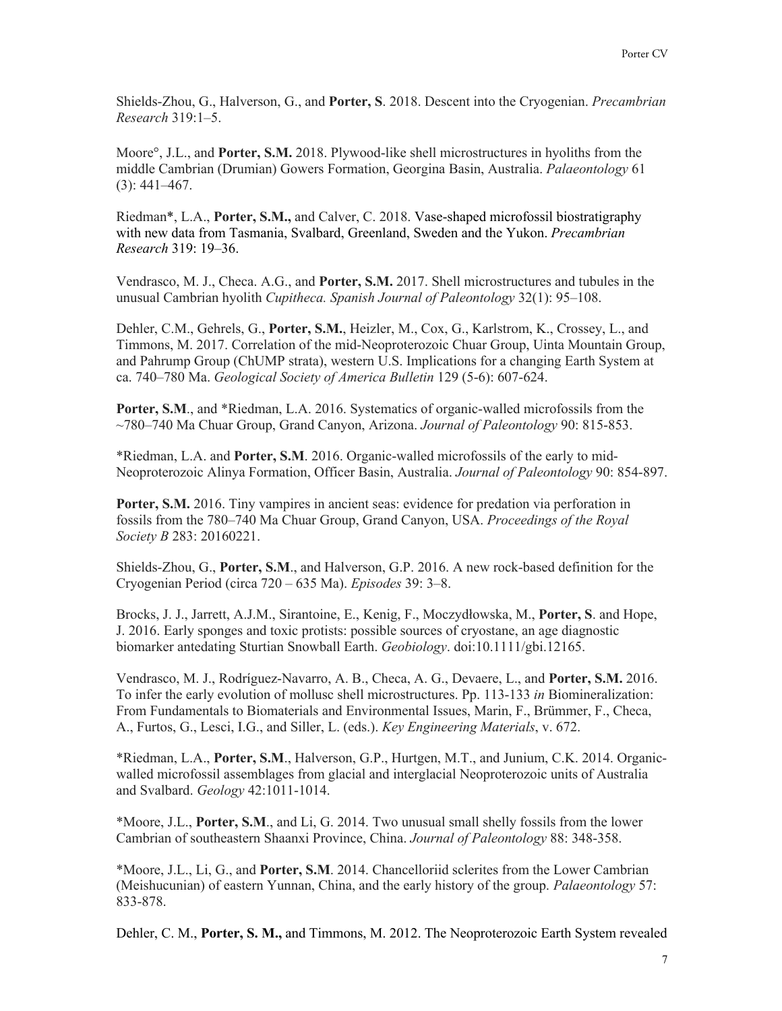Shields-Zhou, G., Halverson, G., and **Porter, S**. 2018. Descent into the Cryogenian. *Precambrian Research* 319:1–5.

Moore°, J.L., and **Porter, S.M.** 2018. Plywood-like shell microstructures in hyoliths from the middle Cambrian (Drumian) Gowers Formation, Georgina Basin, Australia. *Palaeontology* 61  $(3): 441 - 467.$ 

Riedman\*, L.A., **Porter, S.M.,** and Calver, C. 2018. Vase-shaped microfossil biostratigraphy with new data from Tasmania, Svalbard, Greenland, Sweden and the Yukon. *Precambrian Research* 319: 19–36.

Vendrasco, M. J., Checa. A.G., and **Porter, S.M.** 2017. Shell microstructures and tubules in the unusual Cambrian hyolith *Cupitheca. Spanish Journal of Paleontology* 32(1): 95–108.

Dehler, C.M., Gehrels, G., **Porter, S.M.**, Heizler, M., Cox, G., Karlstrom, K., Crossey, L., and Timmons, M. 2017. Correlation of the mid-Neoproterozoic Chuar Group, Uinta Mountain Group, and Pahrump Group (ChUMP strata), western U.S. Implications for a changing Earth System at ca. 740–780 Ma. *Geological Society of America Bulletin* 129 (5-6): 607-624.

**Porter, S.M**., and \*Riedman, L.A. 2016. Systematics of organic-walled microfossils from the ~780–740 Ma Chuar Group, Grand Canyon, Arizona. *Journal of Paleontology* 90: 815-853.

\*Riedman, L.A. and **Porter, S.M**. 2016. Organic-walled microfossils of the early to mid-Neoproterozoic Alinya Formation, Officer Basin, Australia. *Journal of Paleontology* 90: 854-897.

**Porter, S.M.** 2016. Tiny vampires in ancient seas: evidence for predation via perforation in fossils from the 780–740 Ma Chuar Group, Grand Canyon, USA. *Proceedings of the Royal Society B* 283: 20160221.

Shields-Zhou, G., **Porter, S.M**., and Halverson, G.P. 2016. A new rock-based definition for the Cryogenian Period (circa 720 – 635 Ma). *Episodes* 39: 3–8.

Brocks, J. J., Jarrett, A.J.M., Sirantoine, E., Kenig, F., Moczydłowska, M., **Porter, S**. and Hope, J. 2016. Early sponges and toxic protists: possible sources of cryostane, an age diagnostic biomarker antedating Sturtian Snowball Earth. *Geobiology*. doi:10.1111/gbi.12165.

Vendrasco, M. J., Rodríguez-Navarro, A. B., Checa, A. G., Devaere, L., and **Porter, S.M.** 2016. To infer the early evolution of mollusc shell microstructures. Pp. 113-133 *in* Biomineralization: From Fundamentals to Biomaterials and Environmental Issues, Marin, F., Brümmer, F., Checa, A., Furtos, G., Lesci, I.G., and Siller, L. (eds.). *Key Engineering Materials*, v. 672.

\*Riedman, L.A., **Porter, S.M**., Halverson, G.P., Hurtgen, M.T., and Junium, C.K. 2014. Organicwalled microfossil assemblages from glacial and interglacial Neoproterozoic units of Australia and Svalbard. *Geology* 42:1011-1014.

\*Moore, J.L., **Porter, S.M**., and Li, G. 2014. Two unusual small shelly fossils from the lower Cambrian of southeastern Shaanxi Province, China. *Journal of Paleontology* 88: 348-358.

\*Moore, J.L., Li, G., and **Porter, S.M**. 2014. Chancelloriid sclerites from the Lower Cambrian (Meishucunian) of eastern Yunnan, China, and the early history of the group. *Palaeontology* 57: 833-878.

Dehler, C. M., **Porter, S. M.,** and Timmons, M. 2012. The Neoproterozoic Earth System revealed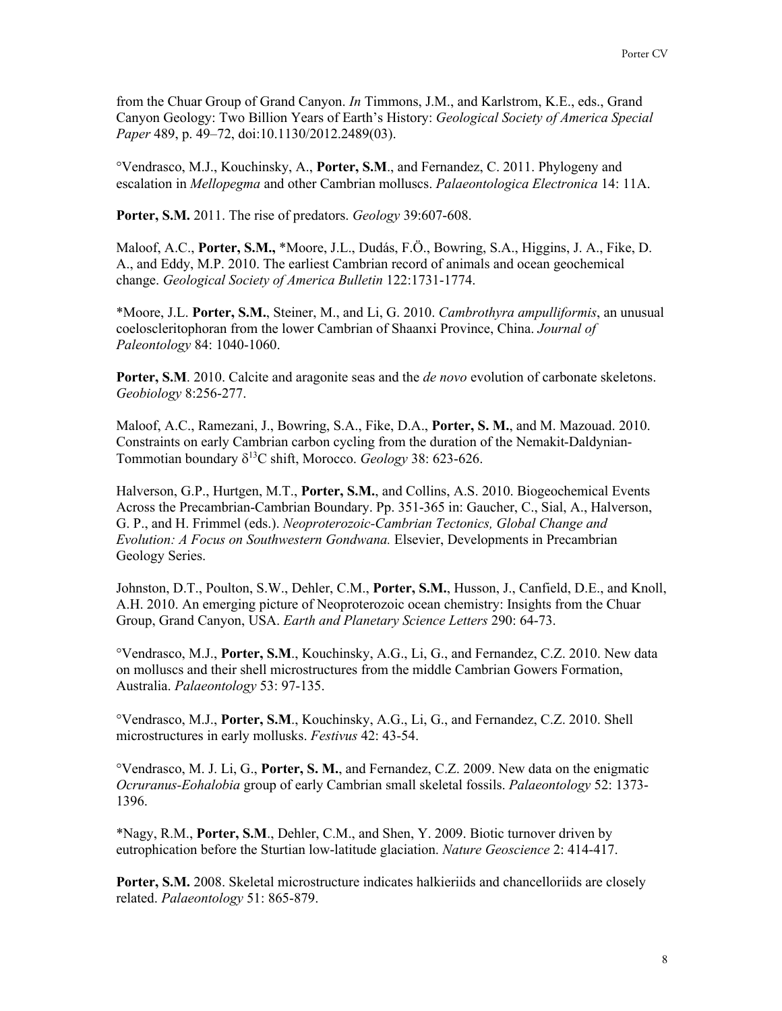from the Chuar Group of Grand Canyon. *In* Timmons, J.M., and Karlstrom, K.E., eds., Grand Canyon Geology: Two Billion Years of Earth's History: *Geological Society of America Special Paper* 489, p. 49–72, doi:10.1130/2012.2489(03).

°Vendrasco, M.J., Kouchinsky, A., **Porter, S.M**., and Fernandez, C. 2011. Phylogeny and escalation in *Mellopegma* and other Cambrian molluscs. *Palaeontologica Electronica* 14: 11A.

**Porter, S.M.** 2011. The rise of predators. *Geology* 39:607-608.

Maloof, A.C., **Porter, S.M.,** \*Moore, J.L., Dudás, F.Ö., Bowring, S.A., Higgins, J. A., Fike, D. A., and Eddy, M.P. 2010. The earliest Cambrian record of animals and ocean geochemical change. *Geological Society of America Bulletin* 122:1731-1774.

\*Moore, J.L. **Porter, S.M.**, Steiner, M., and Li, G. 2010. *Cambrothyra ampulliformis*, an unusual coeloscleritophoran from the lower Cambrian of Shaanxi Province, China. *Journal of Paleontology* 84: 1040-1060.

**Porter, S.M**. 2010. Calcite and aragonite seas and the *de novo* evolution of carbonate skeletons. *Geobiology* 8:256-277.

Maloof, A.C., Ramezani, J., Bowring, S.A., Fike, D.A., **Porter, S. M.**, and M. Mazouad. 2010. Constraints on early Cambrian carbon cycling from the duration of the Nemakit-Daldynian-Tommotian boundary  $\delta^{13}$ C shift, Morocco. *Geology* 38: 623-626.

Halverson, G.P., Hurtgen, M.T., **Porter, S.M.**, and Collins, A.S. 2010. Biogeochemical Events Across the Precambrian-Cambrian Boundary. Pp. 351-365 in: Gaucher, C., Sial, A., Halverson, G. P., and H. Frimmel (eds.). *Neoproterozoic-Cambrian Tectonics, Global Change and Evolution: A Focus on Southwestern Gondwana.* Elsevier, Developments in Precambrian Geology Series.

Johnston, D.T., Poulton, S.W., Dehler, C.M., **Porter, S.M.**, Husson, J., Canfield, D.E., and Knoll, A.H. 2010. An emerging picture of Neoproterozoic ocean chemistry: Insights from the Chuar Group, Grand Canyon, USA. *Earth and Planetary Science Letters* 290: 64-73.

°Vendrasco, M.J., **Porter, S.M**., Kouchinsky, A.G., Li, G., and Fernandez, C.Z. 2010. New data on molluscs and their shell microstructures from the middle Cambrian Gowers Formation, Australia. *Palaeontology* 53: 97-135.

°Vendrasco, M.J., **Porter, S.M**., Kouchinsky, A.G., Li, G., and Fernandez, C.Z. 2010. Shell microstructures in early mollusks. *Festivus* 42: 43-54.

°Vendrasco, M. J. Li, G., **Porter, S. M.**, and Fernandez, C.Z. 2009. New data on the enigmatic *Ocruranus-Eohalobia* group of early Cambrian small skeletal fossils. *Palaeontology* 52: 1373- 1396.

\*Nagy, R.M., **Porter, S.M**., Dehler, C.M., and Shen, Y. 2009. Biotic turnover driven by eutrophication before the Sturtian low-latitude glaciation. *Nature Geoscience* 2: 414-417.

**Porter, S.M.** 2008. Skeletal microstructure indicates halkieriids and chancelloriids are closely related. *Palaeontology* 51: 865-879.